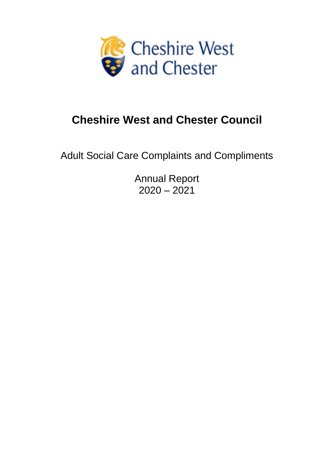

# **Cheshire West and Chester Council**

Adult Social Care Complaints and Compliments

Annual Report  $2020 - 2021$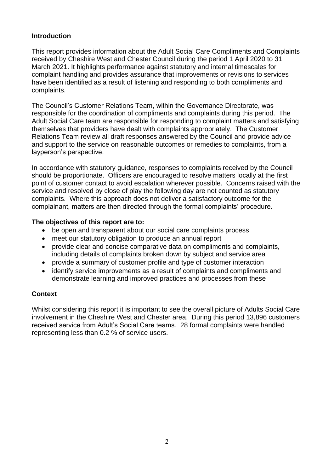## **Introduction**

This report provides information about the Adult Social Care Compliments and Complaints received by Cheshire West and Chester Council during the period 1 April 2020 to 31 March 2021. It highlights performance against statutory and internal timescales for complaint handling and provides assurance that improvements or revisions to services have been identified as a result of listening and responding to both compliments and complaints.

The Council's Customer Relations Team, within the Governance Directorate, was responsible for the coordination of compliments and complaints during this period. The Adult Social Care team are responsible for responding to complaint matters and satisfying themselves that providers have dealt with complaints appropriately. The Customer Relations Team review all draft responses answered by the Council and provide advice and support to the service on reasonable outcomes or remedies to complaints, from a layperson's perspective.

In accordance with statutory guidance, responses to complaints received by the Council should be proportionate. Officers are encouraged to resolve matters locally at the first point of customer contact to avoid escalation wherever possible. Concerns raised with the service and resolved by close of play the following day are not counted as statutory complaints. Where this approach does not deliver a satisfactory outcome for the complainant, matters are then directed through the formal complaints' procedure.

#### **The objectives of this report are to:**

- be open and transparent about our social care complaints process
- meet our statutory obligation to produce an annual report
- provide clear and concise comparative data on compliments and complaints, including details of complaints broken down by subject and service area
- provide a summary of customer profile and type of customer interaction
- identify service improvements as a result of complaints and compliments and demonstrate learning and improved practices and processes from these

## **Context**

Whilst considering this report it is important to see the overall picture of Adults Social Care involvement in the Cheshire West and Chester area. During this period 13,896 customers received service from Adult's Social Care teams. 28 formal complaints were handled representing less than 0.2 % of service users.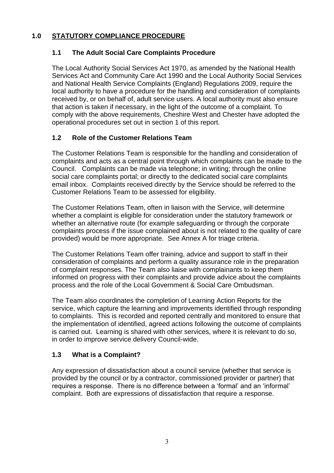## **1.0 STATUTORY COMPLIANCE PROCEDURE**

## **1.1 The Adult Social Care Complaints Procedure**

The Local Authority Social Services Act 1970, as amended by the National Health Services Act and Community Care Act 1990 and the Local Authority Social Services and National Health Service Complaints (England) Regulations 2009, require the local authority to have a procedure for the handling and consideration of complaints received by, or on behalf of, adult service users. A local authority must also ensure that action is taken if necessary, in the light of the outcome of a complaint. To comply with the above requirements, Cheshire West and Chester have adopted the operational procedures set out in section 1 of this report.

## **1.2 Role of the Customer Relations Team**

The Customer Relations Team is responsible for the handling and consideration of complaints and acts as a central point through which complaints can be made to the Council. Complaints can be made via telephone; in writing; through the online social care complaints portal; or directly to the dedicated social care complaints email inbox. Complaints received directly by the Service should be referred to the Customer Relations Team to be assessed for eligibility.

The Customer Relations Team, often in liaison with the Service, will determine whether a complaint is eligible for consideration under the statutory framework or whether an alternative route (for example safeguarding or through the corporate complaints process if the issue complained about is not related to the quality of care provided) would be more appropriate. See Annex A for triage criteria.

The Customer Relations Team offer training, advice and support to staff in their consideration of complaints and perform a quality assurance role in the preparation of complaint responses. The Team also liaise with complainants to keep them informed on progress with their complaints and provide advice about the complaints process and the role of the Local Government & Social Care Ombudsman.

The Team also coordinates the completion of Learning Action Reports for the service, which capture the learning and improvements identified through responding to complaints. This is recorded and reported centrally and monitored to ensure that the implementation of identified, agreed actions following the outcome of complaints is carried out. Learning is shared with other services, where it is relevant to do so, in order to improve service delivery Council-wide.

## **1.3 What is a Complaint?**

Any expression of dissatisfaction about a council service (whether that service is provided by the council or by a contractor, commissioned provider or partner) that requires a response. There is no difference between a 'formal' and an 'informal' complaint. Both are expressions of dissatisfaction that require a response.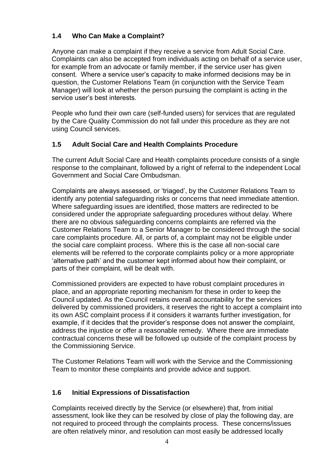## **1.4 Who Can Make a Complaint?**

Anyone can make a complaint if they receive a service from Adult Social Care. Complaints can also be accepted from individuals acting on behalf of a service user, for example from an advocate or family member, if the service user has given consent. Where a service user's capacity to make informed decisions may be in question, the Customer Relations Team (in conjunction with the Service Team Manager) will look at whether the person pursuing the complaint is acting in the service user's best interests.

People who fund their own care (self-funded users) for services that are regulated by the Care Quality Commission do not fall under this procedure as they are not using Council services.

## **1.5 Adult Social Care and Health Complaints Procedure**

The current Adult Social Care and Health complaints procedure consists of a single response to the complainant, followed by a right of referral to the independent Local Government and Social Care Ombudsman.

Complaints are always assessed, or 'triaged', by the Customer Relations Team to identify any potential safeguarding risks or concerns that need immediate attention. Where safeguarding issues are identified, those matters are redirected to be considered under the appropriate safeguarding procedures without delay. Where there are no obvious safeguarding concerns complaints are referred via the Customer Relations Team to a Senior Manager to be considered through the social care complaints procedure. All, or parts of, a complaint may not be eligible under the social care complaint process. Where this is the case all non-social care elements will be referred to the corporate complaints policy or a more appropriate 'alternative path' and the customer kept informed about how their complaint, or parts of their complaint, will be dealt with.

Commissioned providers are expected to have robust complaint procedures in place, and an appropriate reporting mechanism for these in order to keep the Council updated. As the Council retains overall accountability for the services delivered by commissioned providers, it reserves the right to accept a complaint into its own ASC complaint process if it considers it warrants further investigation, for example, if it decides that the provider's response does not answer the complaint, address the injustice or offer a reasonable remedy. Where there are immediate contractual concerns these will be followed up outside of the complaint process by the Commissioning Service.

The Customer Relations Team will work with the Service and the Commissioning Team to monitor these complaints and provide advice and support.

## **1.6 Initial Expressions of Dissatisfaction**

Complaints received directly by the Service (or elsewhere) that, from initial assessment, look like they can be resolved by close of play the following day, are not required to proceed through the complaints process. These concerns/issues are often relatively minor, and resolution can most easily be addressed locally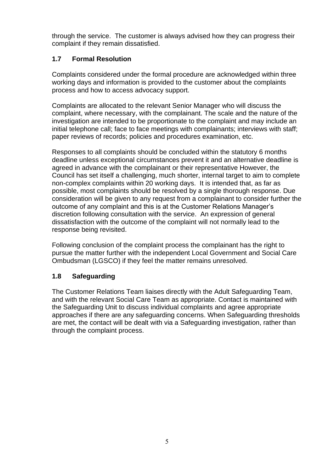through the service. The customer is always advised how they can progress their complaint if they remain dissatisfied.

## **1.7 Formal Resolution**

Complaints considered under the formal procedure are acknowledged within three working days and information is provided to the customer about the complaints process and how to access advocacy support.

Complaints are allocated to the relevant Senior Manager who will discuss the complaint, where necessary, with the complainant. The scale and the nature of the investigation are intended to be proportionate to the complaint and may include an initial telephone call; face to face meetings with complainants; interviews with staff; paper reviews of records; policies and procedures examination, etc.

Responses to all complaints should be concluded within the statutory 6 months deadline unless exceptional circumstances prevent it and an alternative deadline is agreed in advance with the complainant or their representative However, the Council has set itself a challenging, much shorter, internal target to aim to complete non-complex complaints within 20 working days. It is intended that, as far as possible, most complaints should be resolved by a single thorough response. Due consideration will be given to any request from a complainant to consider further the outcome of any complaint and this is at the Customer Relations Manager's discretion following consultation with the service. An expression of general dissatisfaction with the outcome of the complaint will not normally lead to the response being revisited.

Following conclusion of the complaint process the complainant has the right to pursue the matter further with the independent Local Government and Social Care Ombudsman (LGSCO) if they feel the matter remains unresolved.

## **1.8 Safeguarding**

The Customer Relations Team liaises directly with the Adult Safeguarding Team, and with the relevant Social Care Team as appropriate. Contact is maintained with the Safeguarding Unit to discuss individual complaints and agree appropriate approaches if there are any safeguarding concerns. When Safeguarding thresholds are met, the contact will be dealt with via a Safeguarding investigation, rather than through the complaint process.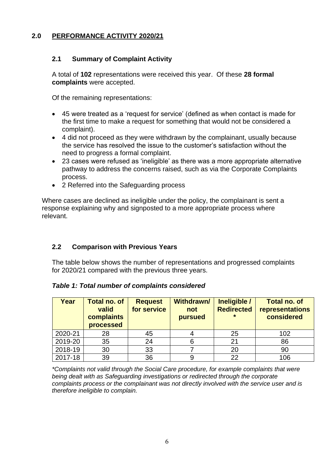## **2.0 PERFORMANCE ACTIVITY 2020/21**

## **2.1 Summary of Complaint Activity**

A total of **102** representations were received this year. Of these **28 formal complaints** were accepted.

Of the remaining representations:

- 45 were treated as a 'request for service' (defined as when contact is made for the first time to make a request for something that would not be considered a complaint).
- 4 did not proceed as they were withdrawn by the complainant, usually because the service has resolved the issue to the customer's satisfaction without the need to progress a formal complaint.
- 23 cases were refused as 'ineligible' as there was a more appropriate alternative pathway to address the concerns raised, such as via the Corporate Complaints process.
- 2 Referred into the Safeguarding process

Where cases are declined as ineligible under the policy, the complainant is sent a response explaining why and signposted to a more appropriate process where relevant.

## **2.2 Comparison with Previous Years**

The table below shows the number of representations and progressed complaints for 2020/21 compared with the previous three years.

| Year    | <b>Total no. of</b><br>valid<br>complaints<br>processed | <b>Request</b><br>for service | <b>Withdrawn/</b><br>not<br>pursued | Ineligible /<br><b>Redirected</b><br>$\star$ | <b>Total no. of</b><br>representations<br>considered |
|---------|---------------------------------------------------------|-------------------------------|-------------------------------------|----------------------------------------------|------------------------------------------------------|
| 2020-21 | 28                                                      | 45                            |                                     | 25                                           | 102                                                  |
| 2019-20 | 35                                                      | 24                            |                                     | 21                                           | 86                                                   |
| 2018-19 | 30                                                      | 33                            |                                     | 20                                           | 90                                                   |
| 2017-18 | 39                                                      | 36                            |                                     | 22                                           | 106                                                  |

*\*Complaints not valid through the Social Care procedure, for example complaints that were being dealt with as Safeguarding investigations or redirected through the corporate complaints process or the complainant was not directly involved with the service user and is therefore ineligible to complain.*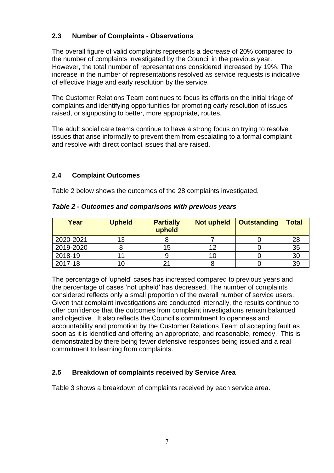## **2.3 Number of Complaints - Observations**

The overall figure of valid complaints represents a decrease of 20% compared to the number of complaints investigated by the Council in the previous year. However, the total number of representations considered increased by 19%. The increase in the number of representations resolved as service requests is indicative of effective triage and early resolution by the service.

The Customer Relations Team continues to focus its efforts on the initial triage of complaints and identifying opportunities for promoting early resolution of issues raised, or signposting to better, more appropriate, routes.

The adult social care teams continue to have a strong focus on trying to resolve issues that arise informally to prevent them from escalating to a formal complaint and resolve with direct contact issues that are raised.

## **2.4 Complaint Outcomes**

Table 2 below shows the outcomes of the 28 complaints investigated.

| Year      | <b>Upheld</b> | <b>Partially</b><br>upheld | <b>Not upheld</b> | <b>Outstanding</b> | <b>Total</b>   |
|-----------|---------------|----------------------------|-------------------|--------------------|----------------|
| 2020-2021 | 13            |                            |                   |                    | 28             |
| 2019-2020 |               | 15                         |                   |                    | 35             |
| 2018-19   |               |                            |                   |                    | 3 <sub>C</sub> |
| 2017-18   |               |                            |                   |                    | 39             |

*Table 2 - Outcomes and comparisons with previous years*

The percentage of 'upheld' cases has increased compared to previous years and the percentage of cases 'not upheld' has decreased. The number of complaints considered reflects only a small proportion of the overall number of service users. Given that complaint investigations are conducted internally, the results continue to offer confidence that the outcomes from complaint investigations remain balanced and objective. It also reflects the Council's commitment to openness and accountability and promotion by the Customer Relations Team of accepting fault as soon as it is identified and offering an appropriate, and reasonable, remedy. This is demonstrated by there being fewer defensive responses being issued and a real commitment to learning from complaints.

## **2.5 Breakdown of complaints received by Service Area**

Table 3 shows a breakdown of complaints received by each service area.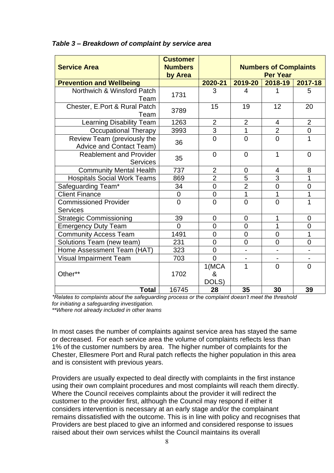| <b>Service Area</b>                                            | <b>Customer</b><br><b>Numbers</b> |                     |                          | <b>Numbers of Complaints</b><br><b>Per Year</b> |                              |
|----------------------------------------------------------------|-----------------------------------|---------------------|--------------------------|-------------------------------------------------|------------------------------|
| <b>Prevention and Wellbeing</b>                                | by Area                           | 2020-21             | 2019-20                  | 2018-19                                         | 2017-18                      |
| Northwich & Winsford Patch<br>Team                             | 1731                              | 3                   | 4                        |                                                 | 5                            |
| Chester, E.Port & Rural Patch<br>Team                          | 3789                              | 15                  | 19                       | 12                                              | 20                           |
| Learning Disability Team                                       | 1263                              | $\overline{2}$      | $\overline{2}$           | $\overline{\mathcal{A}}$                        | $\overline{2}$               |
| <b>Occupational Therapy</b>                                    | 3993                              | $\overline{3}$      | 1                        | $\overline{2}$                                  | $\overline{0}$               |
| Review Team (previously the<br><b>Advice and Contact Team)</b> | 36                                | $\overline{0}$      | $\overline{0}$           | $\overline{0}$                                  | $\overline{1}$               |
| <b>Reablement and Provider</b><br><b>Services</b>              | 35                                | $\overline{0}$      | $\overline{0}$           | 1                                               | $\overline{0}$               |
| <b>Community Mental Health</b>                                 | 737                               | $\overline{2}$      | 0                        | 4                                               | 8                            |
| <b>Hospitals Social Work Teams</b>                             | 869                               | $\overline{2}$      | 5                        | $\overline{3}$                                  | $\overline{1}$               |
| Safeguarding Team*                                             | 34                                | $\overline{0}$      | $\overline{2}$           | $\overline{0}$                                  | $\overline{0}$               |
| <b>Client Finance</b>                                          | $\mathbf 0$                       | $\mathbf 0$         | 1                        | 1                                               | $\overline{1}$               |
| <b>Commissioned Provider</b><br><b>Services</b>                | $\overline{0}$                    | $\overline{0}$      | $\overline{0}$           | $\overline{0}$                                  | $\overline{1}$               |
| <b>Strategic Commissioning</b>                                 | 39                                | $\mathbf 0$         | $\overline{0}$           | 1                                               | $\overline{0}$               |
| <b>Emergency Duty Team</b>                                     | $\Omega$                          | $\mathbf 0$         | $\overline{0}$           | 1                                               | $\mathbf 0$                  |
| <b>Community Access Team</b>                                   | 1491                              | $\mathbf 0$         | $\overline{0}$           | $\mathbf 0$                                     | $\overline{1}$               |
| Solutions Team (new team)                                      | 231                               | $\overline{0}$      | $\overline{0}$           | $\overline{0}$                                  | $\mathbf 0$                  |
| Home Assessment Team (HAT)                                     | 323                               | $\overline{0}$      |                          |                                                 | $\qquad \qquad \blacksquare$ |
| <b>Visual Impairment Team</b>                                  | 703                               | $\overline{0}$      | $\overline{\phantom{0}}$ |                                                 | $\overline{\phantom{0}}$     |
| Other**                                                        | 1702                              | 1(MCA<br>&<br>DOLS) | 1                        | $\overline{0}$                                  | $\overline{0}$               |
| <b>Total</b>                                                   | 16745                             | 28                  | 35                       | 30                                              | 39                           |

#### *Table 3 – Breakdown of complaint by service area*

*\*Relates to complaints about the safeguarding process or the complaint doesn't meet the threshold for initiating a safeguarding investigation.* 

*\*\*Where not already included in other teams*

In most cases the number of complaints against service area has stayed the same or decreased. For each service area the volume of complaints reflects less than 1% of the customer numbers by area. The higher number of complaints for the Chester, Ellesmere Port and Rural patch reflects the higher population in this area and is consistent with previous years.

Providers are usually expected to deal directly with complaints in the first instance using their own complaint procedures and most complaints will reach them directly. Where the Council receives complaints about the provider it will redirect the customer to the provider first, although the Council may respond if either it considers intervention is necessary at an early stage and/or the complainant remains dissatisfied with the outcome. This is in line with policy and recognises that Providers are best placed to give an informed and considered response to issues raised about their own services whilst the Council maintains its overall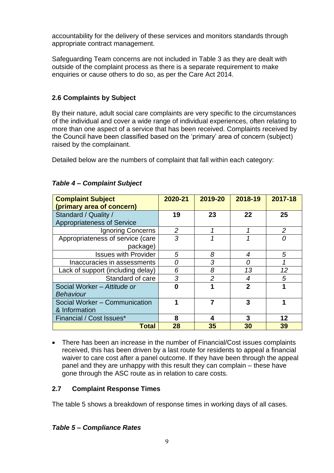accountability for the delivery of these services and monitors standards through appropriate contract management.

Safeguarding Team concerns are not included in Table 3 as they are dealt with outside of the complaint process as there is a separate requirement to make enquiries or cause others to do so, as per the Care Act 2014.

## **2.6 Complaints by Subject**

By their nature, adult social care complaints are very specific to the circumstances of the individual and cover a wide range of individual experiences, often relating to more than one aspect of a service that has been received. Complaints received by the Council have been classified based on the 'primary' area of concern (subject) raised by the complainant.

Detailed below are the numbers of complaint that fall within each category:

| <b>Complaint Subject</b>          | 2020-21 | 2019-20        | 2018-19        | 2017-18        |
|-----------------------------------|---------|----------------|----------------|----------------|
| (primary area of concern)         |         |                |                |                |
| Standard / Quality /              | 19      | 23             | 22             | 25             |
| <b>Appropriateness of Service</b> |         |                |                |                |
| Ignoring Concerns                 | 2       |                |                | $\overline{2}$ |
| Appropriateness of service (care  | 3       | 1              | 1              |                |
| package)                          |         |                |                |                |
| <b>Issues with Provider</b>       | 5       | 8              | 4              | 5              |
| Inaccuracies in assessments       | Ω       | 3              | 0              |                |
| Lack of support (including delay) | 6       | 8              | 13             | 12             |
| Standard of care                  | 3       | $\overline{2}$ | 4              | 5              |
| Social Worker - Attitude or       | Λ       | 1              | $\overline{2}$ |                |
| <b>Behaviour</b>                  |         |                |                |                |
| Social Worker - Communication     |         | 7              | 3              |                |
| & Information                     |         |                |                |                |
| Financial / Cost Issues*          | 8       | 4              | 3              | 12             |
| Total                             | 28      | 35             | 30             | 39             |

#### *Table 4 – Complaint Subject*

• There has been an increase in the number of Financial/Cost issues complaints received, this has been driven by a last route for residents to appeal a financial waiver to care cost after a panel outcome. If they have been through the appeal panel and they are unhappy with this result they can complain – these have gone through the ASC route as in relation to care costs.

## **2.7 Complaint Response Times**

The table 5 shows a breakdown of response times in working days of all cases.

## *Table 5 – Compliance Rates*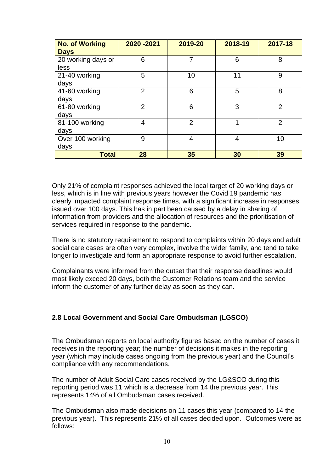| <b>No. of Working</b><br><b>Days</b> | 2020 - 2021    | 2019-20        | 2018-19 | 2017-18        |
|--------------------------------------|----------------|----------------|---------|----------------|
| 20 working days or<br>less           | 6              | 7              | 6       | 8              |
| 21-40 working<br>days                | 5              | 10             | 11      | 9              |
| 41-60 working<br>days                | $\overline{2}$ | 6              | 5       | 8              |
| 61-80 working<br>days                | $\overline{2}$ | 6              | 3       | $\overline{2}$ |
| 81-100 working<br>days               | 4              | $\overline{2}$ | 1       | $\overline{2}$ |
| Over 100 working<br>days             | 9              | 4              | 4       | 10             |
| <b>Total</b>                         | 28             | 35             | 30      | 39             |

Only 21% of complaint responses achieved the local target of 20 working days or less, which is in line with previous years however the Covid 19 pandemic has clearly impacted complaint response times, with a significant increase in responses issued over 100 days. This has in part been caused by a delay in sharing of information from providers and the allocation of resources and the prioritisation of services required in response to the pandemic.

There is no statutory requirement to respond to complaints within 20 days and adult social care cases are often very complex, involve the wider family, and tend to take longer to investigate and form an appropriate response to avoid further escalation.

Complainants were informed from the outset that their response deadlines would most likely exceed 20 days, both the Customer Relations team and the service inform the customer of any further delay as soon as they can.

#### **2.8 Local Government and Social Care Ombudsman (LGSCO)**

The Ombudsman reports on local authority figures based on the number of cases it receives in the reporting year; the number of decisions it makes in the reporting year (which may include cases ongoing from the previous year) and the Council's compliance with any recommendations.

The number of Adult Social Care cases received by the LG&SCO during this reporting period was 11 which is a decrease from 14 the previous year. This represents 14% of all Ombudsman cases received.

The Ombudsman also made decisions on 11 cases this year (compared to 14 the previous year). This represents 21% of all cases decided upon. Outcomes were as follows: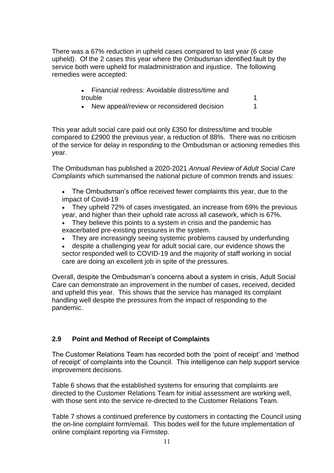There was a 67% reduction in upheld cases compared to last year (6 case upheld). Of the 2 cases this year where the Ombudsman identified fault by the service both were upheld for maladministration and injustice. The following remedies were accepted:

| • Financial redress: Avoidable distress/time and |  |
|--------------------------------------------------|--|
| trouble                                          |  |
| Now appeal/rovious or reconsidered desigion      |  |

• New appeal/review or reconsidered decision 1

This year adult social care paid out only £350 for distress/time and trouble compared to £2900 the previous year, a reduction of 88%. There was no criticism of the service for delay in responding to the Ombudsman or actioning remedies this year.

The Ombudsman has published a 2020-2021 *Annual Review of Adult Social Care Complaints* which summarised the national picture of common trends and issues:

- The Ombudsman's office received fewer complaints this year, due to the impact of Covid-19
- They upheld 72% of cases investigated, an increase from 69% the previous year, and higher than their uphold rate across all casework, which is 67%.
- They believe this points to a system in crisis and the pandemic has exacerbated pre-existing pressures in the system.
- They are increasingly seeing systemic problems caused by underfunding

• despite a challenging year for adult social care, our evidence shows the sector responded well to COVID-19 and the majority of staff working in social care are doing an excellent job in spite of the pressures.

Overall, despite the Ombudsman's concerns about a system in crisis, Adult Social Care can demonstrate an improvement in the number of cases, received, decided and upheld this year. This shows that the service has managed its complaint handling well despite the pressures from the impact of responding to the pandemic.

## **2.9 Point and Method of Receipt of Complaints**

The Customer Relations Team has recorded both the 'point of receipt' and 'method of receipt' of complaints into the Council. This intelligence can help support service improvement decisions.

Table 6 shows that the established systems for ensuring that complaints are directed to the Customer Relations Team for initial assessment are working well, with those sent into the service re-directed to the Customer Relations Team.

Table 7 shows a continued preference by customers in contacting the Council using the on-line complaint form/email. This bodes well for the future implementation of online complaint reporting via Firmstep.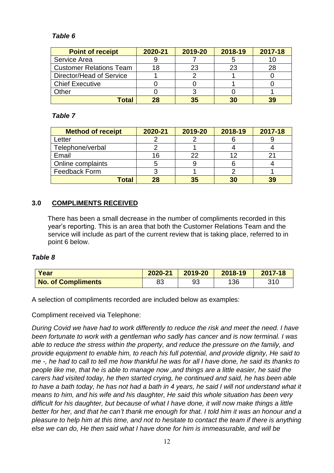## *Table 6*

| <b>Point of receipt</b>        | 2020-21 | 2019-20 | 2018-19 | 2017-18 |
|--------------------------------|---------|---------|---------|---------|
| Service Area                   |         |         |         |         |
| <b>Customer Relations Team</b> | 18      | 23      | 23      | 28      |
| Director/Head of Service       |         |         |         |         |
| <b>Chief Executive</b>         |         |         |         |         |
| Other                          |         |         |         |         |
| Total                          | 28      | 35      | 30      | 39      |

## *Table 7*

| <b>Method of receipt</b> | 2020-21 | 2019-20 | 2018-19 | 2017-18 |
|--------------------------|---------|---------|---------|---------|
| Letter                   |         |         |         |         |
| Telephone/verbal         |         |         |         |         |
| Email                    | 16      | 22      |         |         |
| Online complaints        |         |         |         |         |
| Feedback Form            |         |         |         |         |
| <b>Total</b>             | 28      | 35      | 30      | 39      |

# **3.0 COMPLIMENTS RECEIVED**

There has been a small decrease in the number of compliments recorded in this year's reporting. This is an area that both the Customer Relations Team and the service will include as part of the current review that is taking place, referred to in point 6 below.

#### *Table 8*

| Year                      | 2020-21 | 2019-20 | 2018-19 | 2017-18 |
|---------------------------|---------|---------|---------|---------|
| <b>No. of Compliments</b> | 83      | 93      | 136     | 310     |

A selection of compliments recorded are included below as examples:

Compliment received via Telephone:

*During Covid we have had to work differently to reduce the risk and meet the need. I have been fortunate to work with a gentleman who sadly has cancer and is now terminal. I was able to reduce the stress within the property, and reduce the pressure on the family, and provide equipment to enable him, to reach his full potential, and provide dignity, He said to me -, he had to call to tell me how thankful he was for all I have done, he said its thanks to people like me, that he is able to manage now ,and things are a little easier, he said the carers had visited today, he then started crying, he continued and said, he has been able to have a bath today, he has not had a bath in 4 years, he said I will not understand what it means to him, and his wife and his daughter, He said this whole situation has been very difficult for his daughter, but because of what I have done, it will now make things a little better for her, and that he can't thank me enough for that. I told him it was an honour and a pleasure to help him at this time, and not to hesitate to contact the team if there is anything else we can do, He then said what I have done for him is immeasurable, and will be*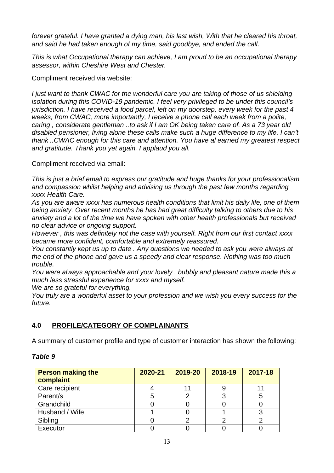*forever grateful. I have granted a dying man, his last wish, With that he cleared his throat, and said he had taken enough of my time, said goodbye, and ended the call.*

*This is what Occupational therapy can achieve, I am proud to be an occupational therapy assessor, within Cheshire West and Chester.*

Compliment received via website:

*I just want to thank CWAC for the wonderful care you are taking of those of us shielding isolation during this COVID-19 pandemic. I feel very privileged to be under this council's jurisdiction. I have received a food parcel, left on my doorstep, every week for the past 4 weeks, from CWAC, more importantly, I receive a phone call each week from a polite, caring , considerate gentleman ..to ask if I am OK being taken care of. As a 73 year old disabled pensioner, living alone these calls make such a huge difference to my life. I can't thank ..CWAC enough for this care and attention. You have al earned my greatest respect and gratitude. Thank you yet again. I applaud you all.*

Compliment received via email:

*This is just a brief email to express our gratitude and huge thanks for your professionalism and compassion whilst helping and advising us through the past few months regarding xxxx Health Care.*

*As you are aware xxxx has numerous health conditions that limit his daily life, one of them being anxiety. Over recent months he has had great difficulty talking to others due to his anxiety and a lot of the time we have spoken with other health professionals but received no clear advice or ongoing support.*

*However , this was definitely not the case with yourself. Right from our first contact xxxx became more confident, comfortable and extremely reassured.*

*You constantly kept us up to date . Any questions we needed to ask you were always at the end of the phone and gave us a speedy and clear response. Nothing was too much trouble.*

*You were always approachable and your lovely , bubbly and pleasant nature made this a much less stressful experience for xxxx and myself.*

*We are so grateful for everything.*

*You truly are a wonderful asset to your profession and we wish you every success for the future.*

## **4.0 PROFILE/CATEGORY OF COMPLAINANTS**

A summary of customer profile and type of customer interaction has shown the following:

#### *Table 9*

| <b>Person making the</b><br>complaint | 2020-21 | 2019-20 | 2018-19 | 2017-18 |
|---------------------------------------|---------|---------|---------|---------|
| Care recipient                        |         |         |         |         |
| Parent/s                              |         |         |         |         |
| Grandchild                            |         |         |         |         |
| Husband / Wife                        |         |         |         |         |
| Sibling                               |         |         |         |         |
| Executor                              |         |         |         |         |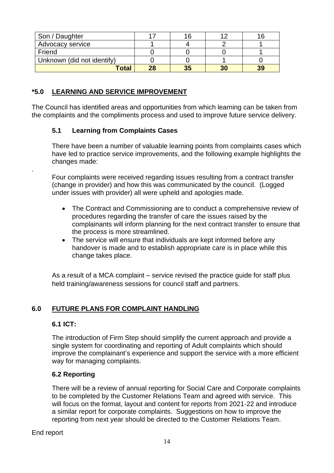| Son / Daughter             |    |    |    |    |
|----------------------------|----|----|----|----|
| Advocacy service           |    |    |    |    |
| Friend                     |    |    |    |    |
| Unknown (did not identify) |    |    |    |    |
| <b>Total</b>               | 28 | 35 | 30 | 39 |

## **\*5.0 LEARNING AND SERVICE IMPROVEMENT**

The Council has identified areas and opportunities from which learning can be taken from the complaints and the compliments process and used to improve future service delivery.

#### **5.1 Learning from Complaints Cases**

There have been a number of valuable learning points from complaints cases which have led to practice service improvements, and the following example highlights the changes made:

Four complaints were received regarding issues resulting from a contract transfer (change in provider) and how this was communicated by the council. (Logged under issues with provider) all were upheld and apologies made.

- The Contract and Commissioning are to conduct a comprehensive review of procedures regarding the transfer of care the issues raised by the complainants will inform planning for the next contract transfer to ensure that the process is more streamlined.
- The service will ensure that individuals are kept informed before any handover is made and to establish appropriate care is in place while this change takes place.

As a result of a MCA complaint – service revised the practice guide for staff plus held training/awareness sessions for council staff and partners.

## **6.0 FUTURE PLANS FOR COMPLAINT HANDLING**

#### **6.1 ICT:**

.

The introduction of Firm Step should simplify the current approach and provide a single system for coordinating and reporting of Adult complaints which should improve the complainant's experience and support the service with a more efficient way for managing complaints.

## **6.2 Reporting**

There will be a review of annual reporting for Social Care and Corporate complaints to be completed by the Customer Relations Team and agreed with service. This will focus on the format, layout and content for reports from 2021-22 and introduce a similar report for corporate complaints. Suggestions on how to improve the reporting from next year should be directed to the Customer Relations Team.

End report